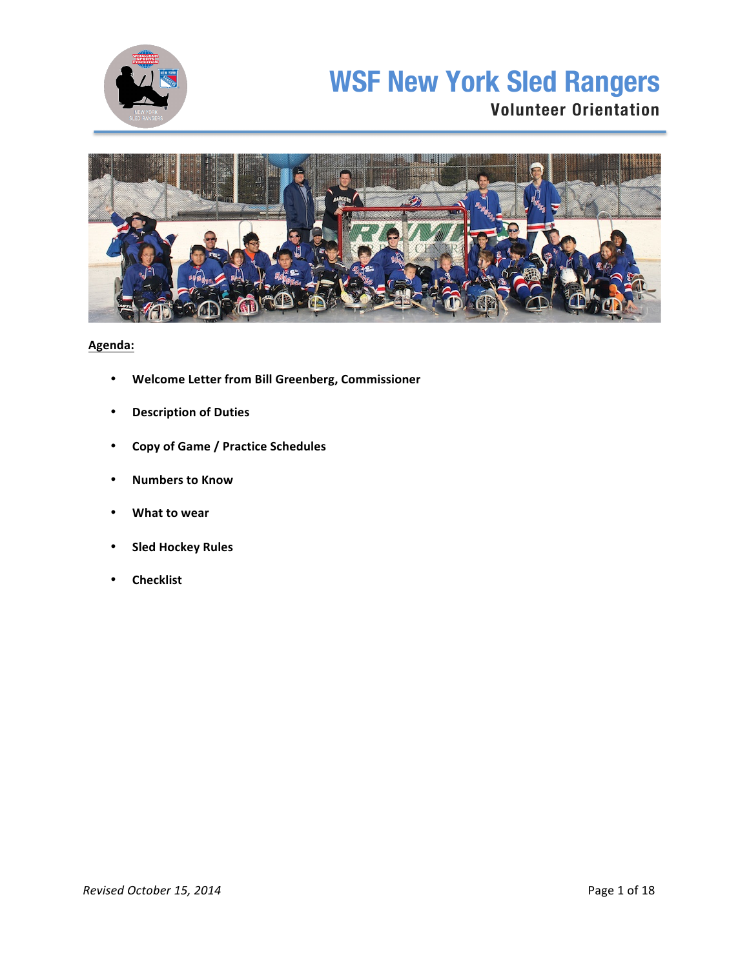

# **WSF New York Sled Rangers Volunteer Orientation**



## **Agenda:**

- **Welcome Letter from Bill Greenberg, Commissioner**
- **Description of Duties**
- **Copy of Game / Practice Schedules**
- **Numbers to Know**
- **What to wear**
- **Sled Hockey Rules**
- **Checklist**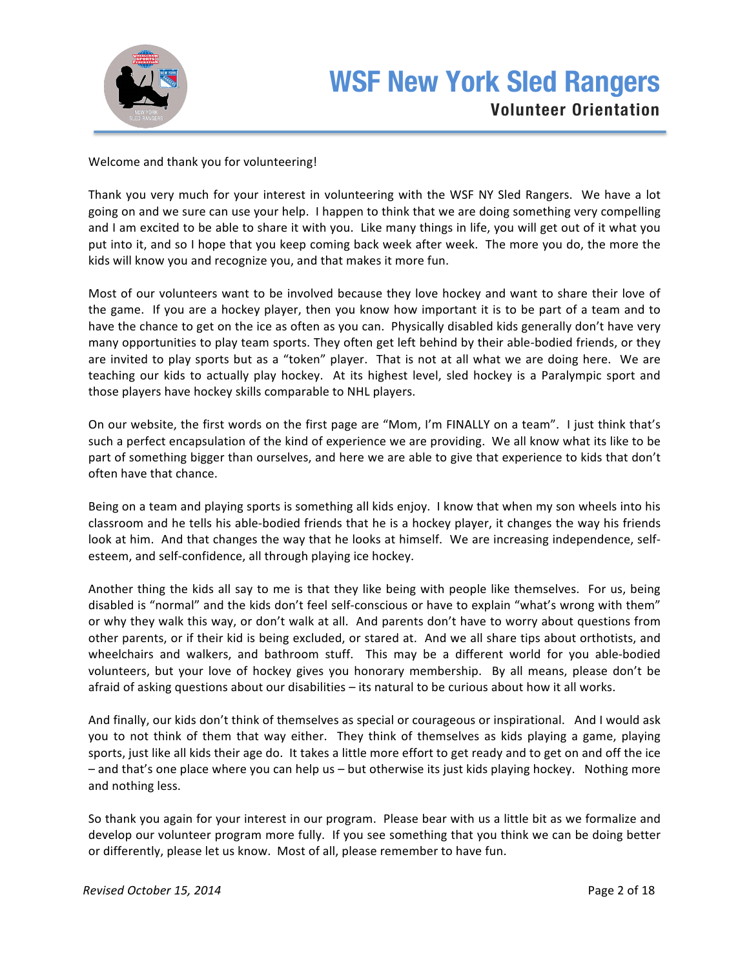

## Welcome and thank you for volunteering!

Thank you very much for your interest in volunteering with the WSF NY Sled Rangers. We have a lot going on and we sure can use your help. I happen to think that we are doing something very compelling and I am excited to be able to share it with you. Like many things in life, you will get out of it what you put into it, and so I hope that you keep coming back week after week. The more you do, the more the kids will know you and recognize you, and that makes it more fun.

Most of our volunteers want to be involved because they love hockey and want to share their love of the game. If you are a hockey player, then you know how important it is to be part of a team and to have the chance to get on the ice as often as you can. Physically disabled kids generally don't have very many opportunities to play team sports. They often get left behind by their able-bodied friends, or they are invited to play sports but as a "token" player. That is not at all what we are doing here. We are teaching our kids to actually play hockey. At its highest level, sled hockey is a Paralympic sport and those players have hockey skills comparable to NHL players.

On our website, the first words on the first page are "Mom, I'm FINALLY on a team". I just think that's such a perfect encapsulation of the kind of experience we are providing. We all know what its like to be part of something bigger than ourselves, and here we are able to give that experience to kids that don't often have that chance.

Being on a team and playing sports is something all kids enjoy. I know that when my son wheels into his classroom and he tells his able-bodied friends that he is a hockey player, it changes the way his friends look at him. And that changes the way that he looks at himself. We are increasing independence, selfesteem, and self-confidence, all through playing ice hockey.

Another thing the kids all say to me is that they like being with people like themselves. For us, being disabled is "normal" and the kids don't feel self-conscious or have to explain "what's wrong with them" or why they walk this way, or don't walk at all. And parents don't have to worry about questions from other parents, or if their kid is being excluded, or stared at. And we all share tips about orthotists, and wheelchairs and walkers, and bathroom stuff. This may be a different world for you able-bodied volunteers, but your love of hockey gives you honorary membership. By all means, please don't be afraid of asking questions about our disabilities – its natural to be curious about how it all works.

And finally, our kids don't think of themselves as special or courageous or inspirational. And I would ask you to not think of them that way either. They think of themselves as kids playing a game, playing sports, just like all kids their age do. It takes a little more effort to get ready and to get on and off the ice  $-$  and that's one place where you can help us  $-$  but otherwise its just kids playing hockey. Nothing more and nothing less.

So thank you again for your interest in our program. Please bear with us a little bit as we formalize and develop our volunteer program more fully. If you see something that you think we can be doing better or differently, please let us know. Most of all, please remember to have fun.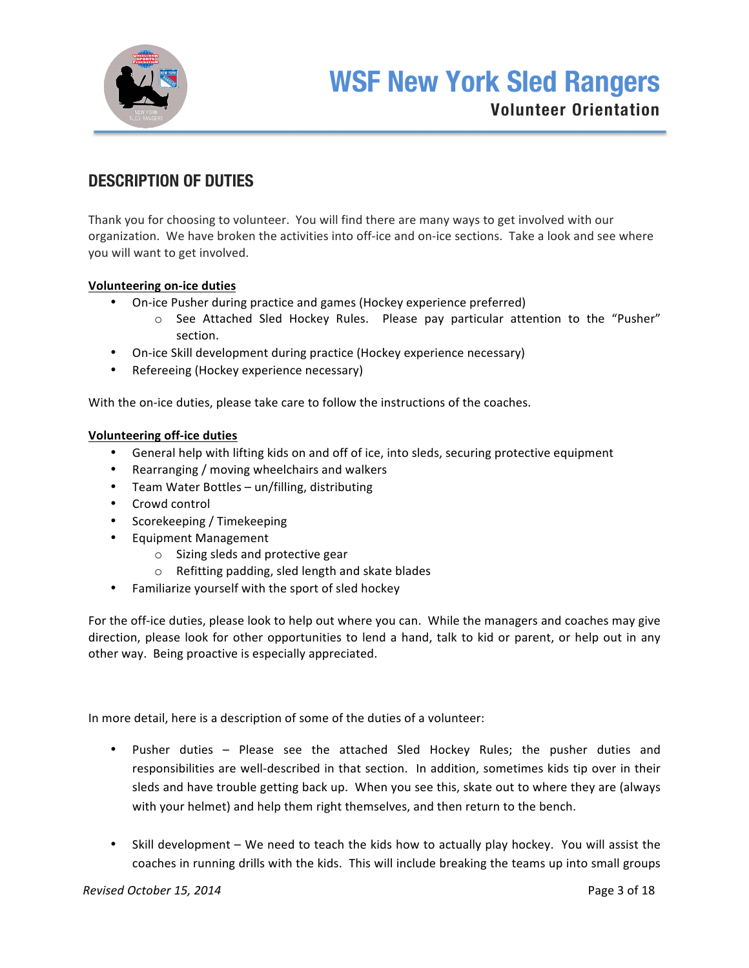

## **DESCRIPTION OF DUTIES**

Thank you for choosing to volunteer. You will find there are many ways to get involved with our organization. We have broken the activities into off-ice and on-ice sections. Take a look and see where you will want to get involved.

## **Volunteering on-ice duties**

- On-ice Pusher during practice and games (Hockey experience preferred)
	- $\circ$  See Attached Sled Hockey Rules. Please pay particular attention to the "Pusher" section.
- On-ice Skill development during practice (Hockey experience necessary)
- Refereeing (Hockey experience necessary)

With the on-ice duties, please take care to follow the instructions of the coaches.

### **Volunteering off-ice duties**

- General help with lifting kids on and off of ice, into sleds, securing protective equipment
- Rearranging / moving wheelchairs and walkers
- Team Water Bottles un/filling, distributing
- Crowd control
- Scorekeeping / Timekeeping
- Equipment Management
	- $\circ$  Sizing sleds and protective gear
	- $\circ$  Refitting padding, sled length and skate blades
- Familiarize yourself with the sport of sled hockey

For the off-ice duties, please look to help out where you can. While the managers and coaches may give direction, please look for other opportunities to lend a hand, talk to kid or parent, or help out in any other way. Being proactive is especially appreciated.

In more detail, here is a description of some of the duties of a volunteer:

- Pusher duties Please see the attached Sled Hockey Rules; the pusher duties and responsibilities are well-described in that section. In addition, sometimes kids tip over in their sleds and have trouble getting back up. When you see this, skate out to where they are (always with your helmet) and help them right themselves, and then return to the bench.
- Skill development We need to teach the kids how to actually play hockey. You will assist the coaches in running drills with the kids. This will include breaking the teams up into small groups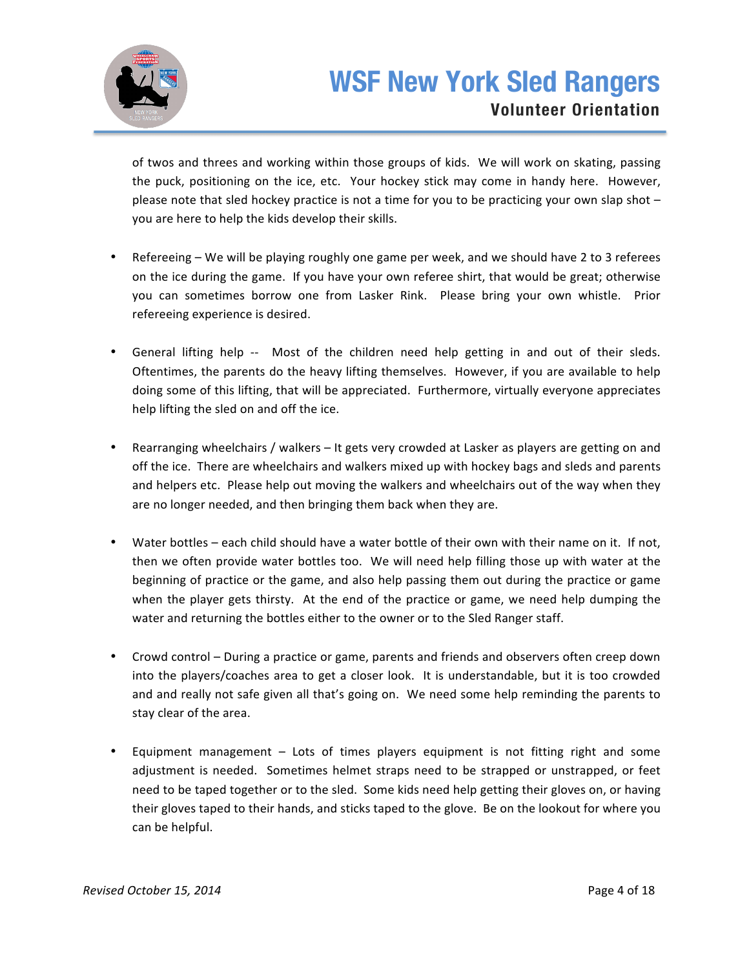

of twos and threes and working within those groups of kids. We will work on skating, passing the puck, positioning on the ice, etc. Your hockey stick may come in handy here. However, please note that sled hockey practice is not a time for you to be practicing your own slap shot  $$ you are here to help the kids develop their skills.

- Refereeing We will be playing roughly one game per week, and we should have 2 to 3 referees on the ice during the game. If you have your own referee shirt, that would be great; otherwise you can sometimes borrow one from Lasker Rink. Please bring your own whistle. Prior refereeing experience is desired.
- General lifting help -- Most of the children need help getting in and out of their sleds. Oftentimes, the parents do the heavy lifting themselves. However, if you are available to help doing some of this lifting, that will be appreciated. Furthermore, virtually everyone appreciates help lifting the sled on and off the ice.
- Rearranging wheelchairs / walkers It gets very crowded at Lasker as players are getting on and off the ice. There are wheelchairs and walkers mixed up with hockey bags and sleds and parents and helpers etc. Please help out moving the walkers and wheelchairs out of the way when they are no longer needed, and then bringing them back when they are.
- Water bottles each child should have a water bottle of their own with their name on it. If not, then we often provide water bottles too. We will need help filling those up with water at the beginning of practice or the game, and also help passing them out during the practice or game when the player gets thirsty. At the end of the practice or game, we need help dumping the water and returning the bottles either to the owner or to the Sled Ranger staff.
- Crowd control During a practice or game, parents and friends and observers often creep down into the players/coaches area to get a closer look. It is understandable, but it is too crowded and and really not safe given all that's going on. We need some help reminding the parents to stay clear of the area.
- Equipment management Lots of times players equipment is not fitting right and some adjustment is needed. Sometimes helmet straps need to be strapped or unstrapped, or feet need to be taped together or to the sled. Some kids need help getting their gloves on, or having their gloves taped to their hands, and sticks taped to the glove. Be on the lookout for where you can be helpful.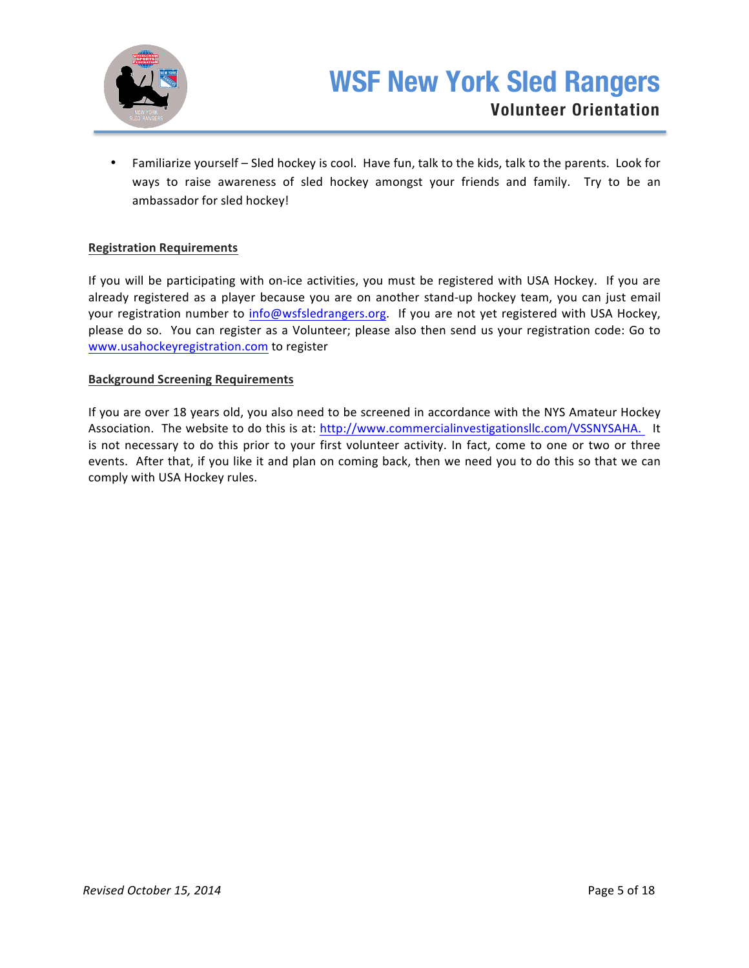

• Familiarize yourself – Sled hockey is cool. Have fun, talk to the kids, talk to the parents. Look for ways to raise awareness of sled hockey amongst your friends and family. Try to be an ambassador for sled hockey!

## **Registration Requirements**

If you will be participating with on-ice activities, you must be registered with USA Hockey. If you are already registered as a player because you are on another stand-up hockey team, you can just email your registration number to info@wsfsledrangers.org. If you are not yet registered with USA Hockey, please do so. You can register as a Volunteer; please also then send us your registration code: Go to www.usahockeyregistration.com to register

### **Background Screening Requirements**

If you are over 18 years old, you also need to be screened in accordance with the NYS Amateur Hockey Association. The website to do this is at: http://www.commercialinvestigationsllc.com/VSSNYSAHA. It is not necessary to do this prior to your first volunteer activity. In fact, come to one or two or three events. After that, if you like it and plan on coming back, then we need you to do this so that we can comply with USA Hockey rules.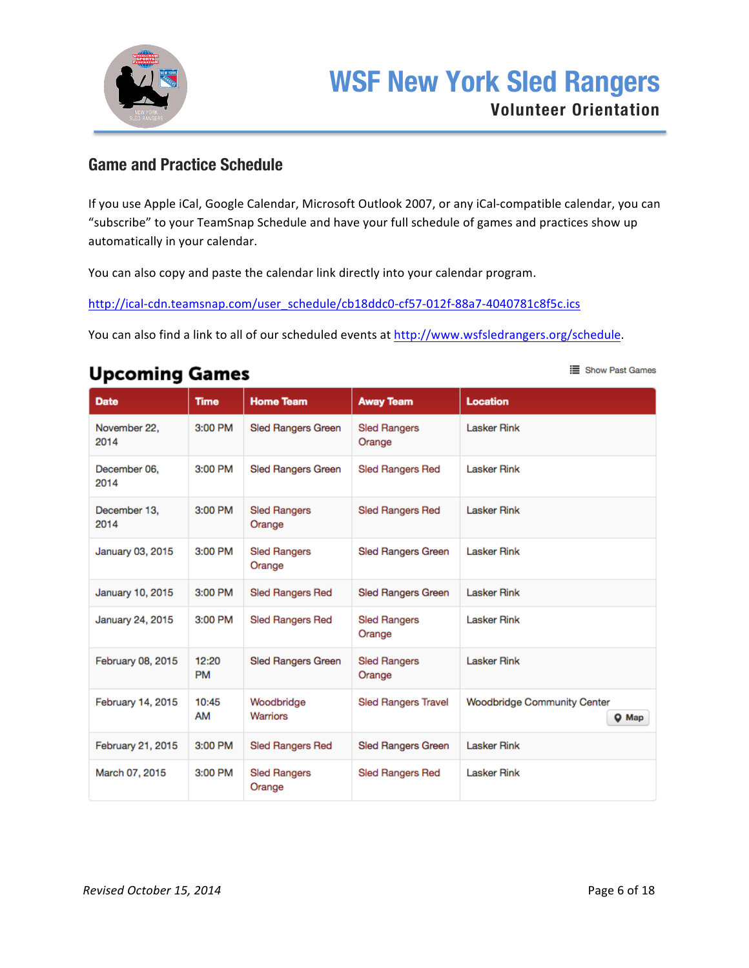

## **Game and Practice Schedule**

If you use Apple iCal, Google Calendar, Microsoft Outlook 2007, or any iCal-compatible calendar, you can "subscribe" to your TeamSnap Schedule and have your full schedule of games and practices show up automatically in your calendar.

You can also copy and paste the calendar link directly into your calendar program.

http://ical-cdn.teamsnap.com/user\_schedule/cb18ddc0-cf57-012f-88a7-4040781c8f5c.ics

You can also find a link to all of our scheduled events at http://www.wsfsledrangers.org/schedule.

# **Upcoming Games**

| <b>Date</b>          | <b>Time</b>        | <b>Home Team</b>              | <b>Away Team</b>              | Location                                    |
|----------------------|--------------------|-------------------------------|-------------------------------|---------------------------------------------|
| November 22.<br>2014 | 3:00 PM            | <b>Sled Rangers Green</b>     | <b>Sled Rangers</b><br>Orange | <b>Lasker Rink</b>                          |
| December 06.<br>2014 | $3:00$ PM          | <b>Sled Rangers Green</b>     | <b>Sled Rangers Red</b>       | <b>Lasker Rink</b>                          |
| December 13.<br>2014 | $3:00$ PM          | <b>Sled Rangers</b><br>Orange | <b>Sled Rangers Red</b>       | <b>Lasker Rink</b>                          |
| January 03, 2015     | 3:00 PM            | <b>Sled Rangers</b><br>Orange | <b>Sled Rangers Green</b>     | <b>Lasker Rink</b>                          |
| January 10, 2015     | $3:00$ PM          | <b>Sled Rangers Red</b>       | <b>Sled Rangers Green</b>     | <b>Lasker Rink</b>                          |
| January 24, 2015     | $3:00$ PM          | <b>Sled Rangers Red</b>       | <b>Sled Rangers</b><br>Orange | <b>Lasker Rink</b>                          |
| February 08, 2015    | 12:20<br><b>PM</b> | <b>Sled Rangers Green</b>     | <b>Sled Rangers</b><br>Orange | <b>Lasker Rink</b>                          |
| February 14, 2015    | 10:45<br>AM        | Woodbridge<br><b>Warriors</b> | <b>Sled Rangers Travel</b>    | <b>Woodbridge Community Center</b><br>Q Map |
| February 21, 2015    | 3:00 PM            | <b>Sled Rangers Red</b>       | Sled Rangers Green            | <b>Lasker Rink</b>                          |
| March 07, 2015       | $3:00$ PM          | <b>Sled Rangers</b><br>Orange | <b>Sled Rangers Red</b>       | <b>Lasker Rink</b>                          |

Show Past Games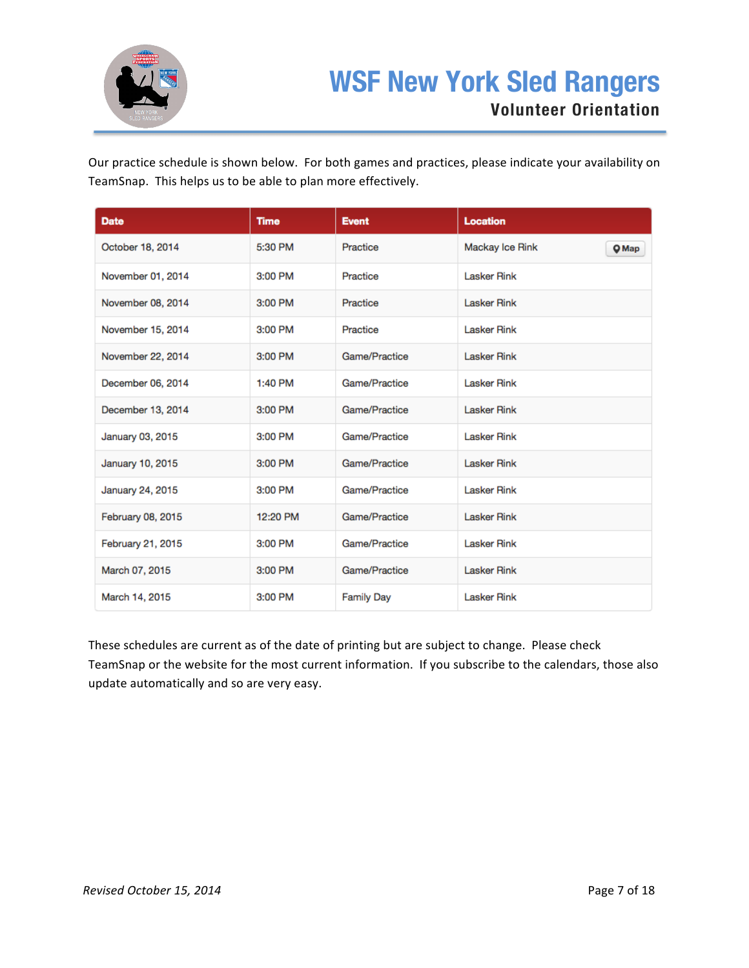

Our practice schedule is shown below. For both games and practices, please indicate your availability on TeamSnap. This helps us to be able to plan more effectively.

| <b>Date</b>       | <b>Time</b> | <b>Event</b>      | Location           |       |
|-------------------|-------------|-------------------|--------------------|-------|
| October 18, 2014  | 5:30 PM     | Practice          | Mackay Ice Rink    | Q Map |
| November 01, 2014 | 3:00 PM     | Practice          | <b>Lasker Rink</b> |       |
| November 08, 2014 | 3:00 PM     | Practice          | <b>Lasker Rink</b> |       |
| November 15, 2014 | 3:00 PM     | Practice          | <b>Lasker Rink</b> |       |
| November 22, 2014 | 3:00 PM     | Game/Practice     | <b>Lasker Rink</b> |       |
| December 06, 2014 | 1:40 PM     | Game/Practice     | <b>Lasker Rink</b> |       |
| December 13, 2014 | 3:00 PM     | Game/Practice     | <b>Lasker Rink</b> |       |
| January 03, 2015  | 3:00 PM     | Game/Practice     | <b>Lasker Rink</b> |       |
| January 10, 2015  | 3:00 PM     | Game/Practice     | <b>Lasker Rink</b> |       |
| January 24, 2015  | 3:00 PM     | Game/Practice     | <b>Lasker Rink</b> |       |
| February 08, 2015 | 12:20 PM    | Game/Practice     | <b>Lasker Rink</b> |       |
| February 21, 2015 | 3:00 PM     | Game/Practice     | <b>Lasker Rink</b> |       |
| March 07, 2015    | 3:00 PM     | Game/Practice     | <b>Lasker Rink</b> |       |
| March 14, 2015    | 3:00 PM     | <b>Family Day</b> | <b>Lasker Rink</b> |       |

These schedules are current as of the date of printing but are subject to change. Please check TeamSnap or the website for the most current information. If you subscribe to the calendars, those also update automatically and so are very easy.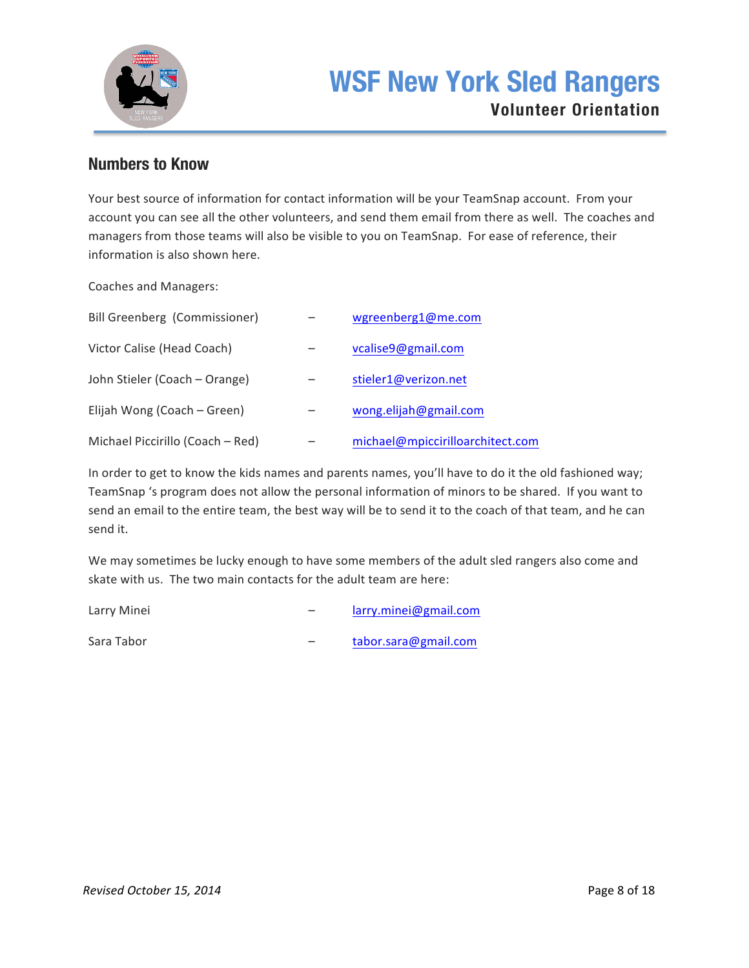

## **Numbers to Know**

Your best source of information for contact information will be your TeamSnap account. From your account you can see all the other volunteers, and send them email from there as well. The coaches and managers from those teams will also be visible to you on TeamSnap. For ease of reference, their information is also shown here.

Coaches and Managers:

| Bill Greenberg (Commissioner)    | wgreenberg1@me.com               |
|----------------------------------|----------------------------------|
| Victor Calise (Head Coach)       | vcalise9@gmail.com               |
| John Stieler (Coach - Orange)    | stieler1@verizon.net             |
| Elijah Wong (Coach – Green)      | wong.elijah@gmail.com            |
| Michael Piccirillo (Coach - Red) | michael@mpiccirilloarchitect.com |

In order to get to know the kids names and parents names, you'll have to do it the old fashioned way; TeamSnap 's program does not allow the personal information of minors to be shared. If you want to send an email to the entire team, the best way will be to send it to the coach of that team, and he can send it.

We may sometimes be lucky enough to have some members of the adult sled rangers also come and skate with us. The two main contacts for the adult team are here:

| Larry Minei | larry.minei@gmail.com |
|-------------|-----------------------|
| Sara Tabor  | tabor.sara@gmail.com  |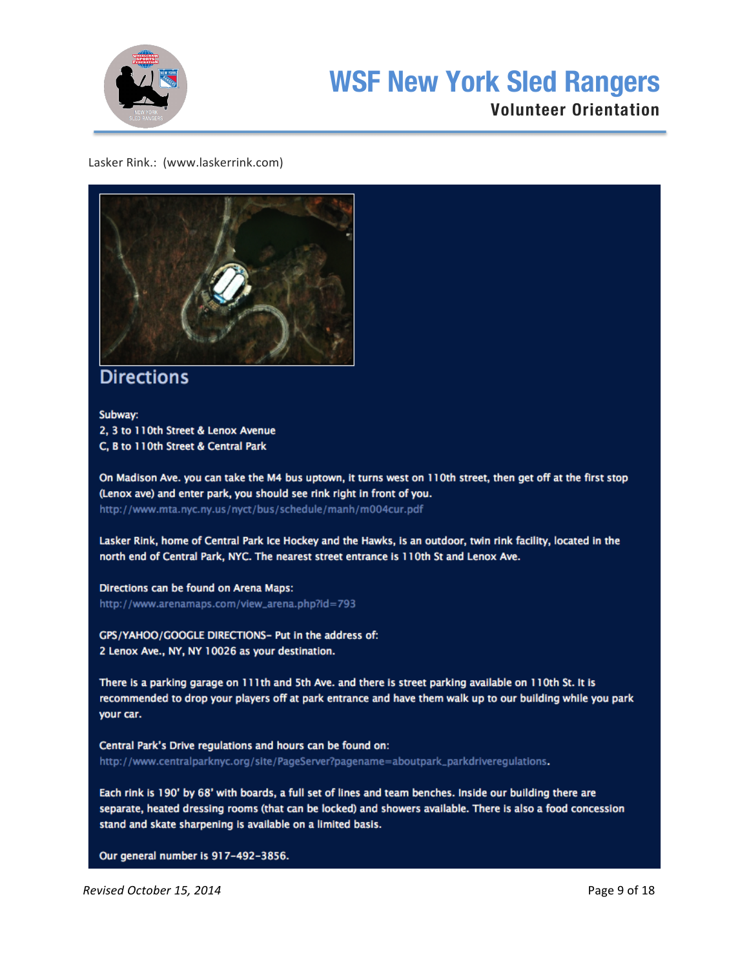

# **WSF New York Sled Rangers**

## **Volunteer Orientation**

## Lasker Rink.: (www.laskerrink.com)



## **Directions**

Subway: 2, 3 to 110th Street & Lenox Avenue C. B to 110th Street & Central Park

On Madison Ave. you can take the M4 bus uptown, it turns west on 110th street, then get off at the first stop (Lenox ave) and enter park, you should see rink right in front of you. http://www.mta.nyc.ny.us/nyct/bus/schedule/manh/m004cur.pdf

Lasker Rink, home of Central Park Ice Hockey and the Hawks, is an outdoor, twin rink facility, located in the north end of Central Park, NYC. The nearest street entrance is 110th St and Lenox Ave.

Directions can be found on Arena Maps: http://www.arenamaps.com/view\_arena.php?id=793

GPS/YAHOO/GOOGLE DIRECTIONS- Put in the address of: 2 Lenox Ave., NY, NY 10026 as your destination.

There is a parking garage on 111th and 5th Ave. and there is street parking available on 110th St. It is recommended to drop your players off at park entrance and have them walk up to our building while you park your car.

Central Park's Drive regulations and hours can be found on: http://www.centralparknyc.org/site/PageServer?pagename=aboutpark\_parkdriveregulations.

Each rink is 190' by 68' with boards, a full set of lines and team benches. Inside our building there are separate, heated dressing rooms (that can be locked) and showers available. There is also a food concession stand and skate sharpening is available on a limited basis.

Our general number is 917-492-3856.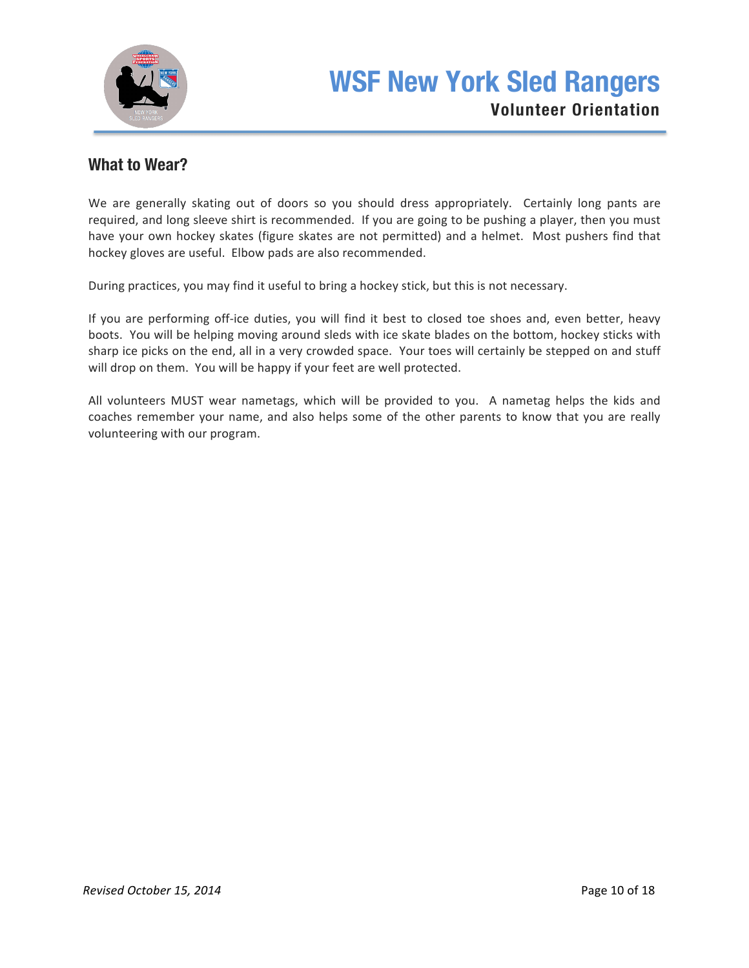

## **What to Wear?**

We are generally skating out of doors so you should dress appropriately. Certainly long pants are required, and long sleeve shirt is recommended. If you are going to be pushing a player, then you must have your own hockey skates (figure skates are not permitted) and a helmet. Most pushers find that hockey gloves are useful. Elbow pads are also recommended.

During practices, you may find it useful to bring a hockey stick, but this is not necessary.

If you are performing off-ice duties, you will find it best to closed toe shoes and, even better, heavy boots. You will be helping moving around sleds with ice skate blades on the bottom, hockey sticks with sharp ice picks on the end, all in a very crowded space. Your toes will certainly be stepped on and stuff will drop on them. You will be happy if your feet are well protected.

All volunteers MUST wear nametags, which will be provided to you. A nametag helps the kids and coaches remember your name, and also helps some of the other parents to know that you are really volunteering with our program.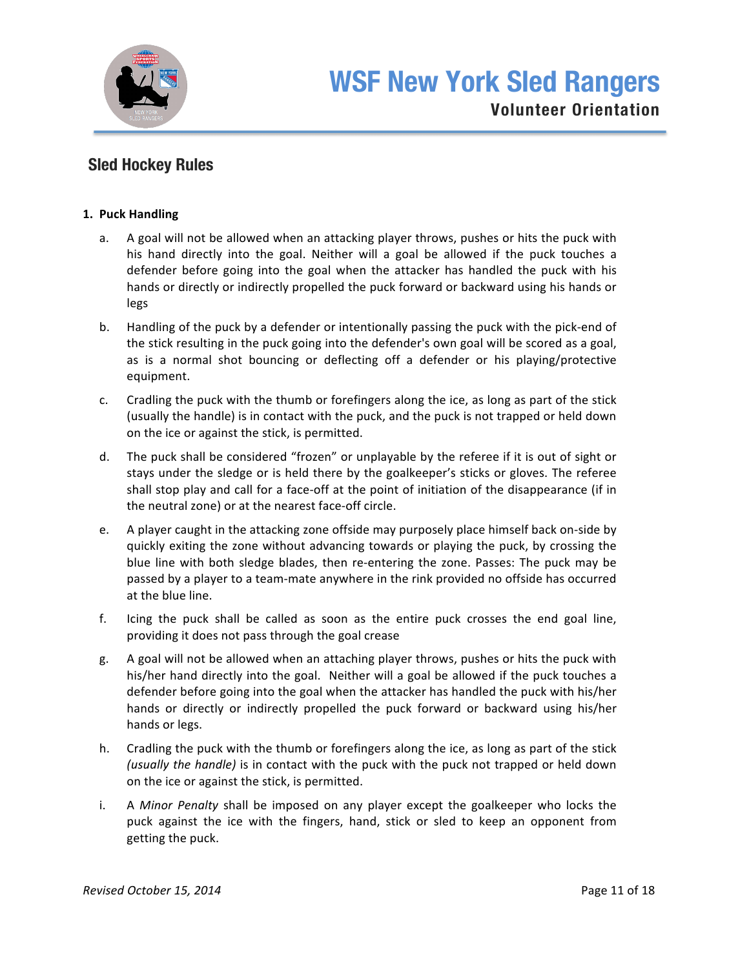

## **Sled Hockey Rules**

## **1. Puck Handling**

- a. A goal will not be allowed when an attacking player throws, pushes or hits the puck with his hand directly into the goal. Neither will a goal be allowed if the puck touches a defender before going into the goal when the attacker has handled the puck with his hands or directly or indirectly propelled the puck forward or backward using his hands or legs
- b. Handling of the puck by a defender or intentionally passing the puck with the pick-end of the stick resulting in the puck going into the defender's own goal will be scored as a goal, as is a normal shot bouncing or deflecting off a defender or his playing/protective equipment.
- c. Cradling the puck with the thumb or forefingers along the ice, as long as part of the stick (usually the handle) is in contact with the puck, and the puck is not trapped or held down on the ice or against the stick, is permitted.
- d. The puck shall be considered "frozen" or unplayable by the referee if it is out of sight or stays under the sledge or is held there by the goalkeeper's sticks or gloves. The referee shall stop play and call for a face-off at the point of initiation of the disappearance (if in the neutral zone) or at the nearest face-off circle.
- e. A player caught in the attacking zone offside may purposely place himself back on-side by quickly exiting the zone without advancing towards or playing the puck, by crossing the blue line with both sledge blades, then re-entering the zone. Passes: The puck may be passed by a player to a team-mate anywhere in the rink provided no offside has occurred at the blue line.
- f. Icing the puck shall be called as soon as the entire puck crosses the end goal line, providing it does not pass through the goal crease
- g. A goal will not be allowed when an attaching player throws, pushes or hits the puck with his/her hand directly into the goal. Neither will a goal be allowed if the puck touches a defender before going into the goal when the attacker has handled the puck with his/her hands or directly or indirectly propelled the puck forward or backward using his/her hands or legs.
- h. Cradling the puck with the thumb or forefingers along the ice, as long as part of the stick *(usually the handle)* is in contact with the puck with the puck not trapped or held down on the ice or against the stick, is permitted.
- i. A Minor Penalty shall be imposed on any player except the goalkeeper who locks the puck against the ice with the fingers, hand, stick or sled to keep an opponent from getting the puck.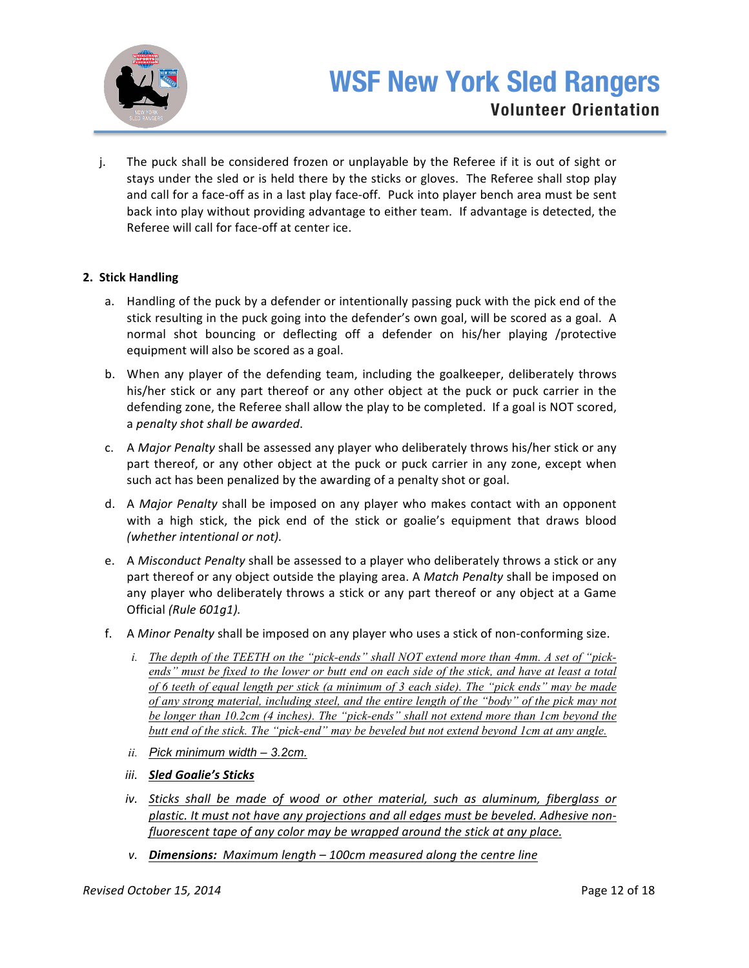

j. The puck shall be considered frozen or unplayable by the Referee if it is out of sight or stays under the sled or is held there by the sticks or gloves. The Referee shall stop play and call for a face-off as in a last play face-off. Puck into player bench area must be sent back into play without providing advantage to either team. If advantage is detected, the Referee will call for face-off at center ice.

## **2. Stick Handling**

- a. Handling of the puck by a defender or intentionally passing puck with the pick end of the stick resulting in the puck going into the defender's own goal, will be scored as a goal. A normal shot bouncing or deflecting off a defender on his/her playing /protective equipment will also be scored as a goal.
- b. When any player of the defending team, including the goalkeeper, deliberately throws his/her stick or any part thereof or any other object at the puck or puck carrier in the defending zone, the Referee shall allow the play to be completed. If a goal is NOT scored, a *penalty shot shall be awarded*.
- c. A *Major Penalty* shall be assessed any player who deliberately throws his/her stick or any part thereof, or any other object at the puck or puck carrier in any zone, except when such act has been penalized by the awarding of a penalty shot or goal.
- d. A *Major Penalty* shall be imposed on any player who makes contact with an opponent with a high stick, the pick end of the stick or goalie's equipment that draws blood *(whether intentional or not).*
- e. A *Misconduct Penalty* shall be assessed to a player who deliberately throws a stick or any part thereof or any object outside the playing area. A *Match Penalty* shall be imposed on any player who deliberately throws a stick or any part thereof or any object at a Game Official (Rule 601g1).
- f. A *Minor Penalty* shall be imposed on any player who uses a stick of non-conforming size.
	- *i. The depth of the TEETH on the "pick-ends" shall NOT extend more than 4mm. A set of "pickends" must be fixed to the lower or butt end on each side of the stick, and have at least a total of 6 teeth of equal length per stick (a minimum of 3 each side). The "pick ends" may be made of any strong material, including steel, and the entire length of the "body" of the pick may not be longer than 10.2cm (4 inches). The "pick-ends" shall not extend more than 1cm beyond the butt end of the stick. The "pick-end" may be beveled but not extend beyond 1cm at any angle.*
	- *ii. Pick minimum width – 3.2cm.*
	- *iii. Sled Goalie's Sticks*
	- *iv.* Sticks shall be made of wood or other material, such as aluminum, fiberglass or plastic. It must not have any projections and all edges must be beveled. Adhesive non*fluorescent tape of any color may be wrapped around the stick at any place.*
	- *v.* **Dimensions:** Maximum length 100cm measured along the centre line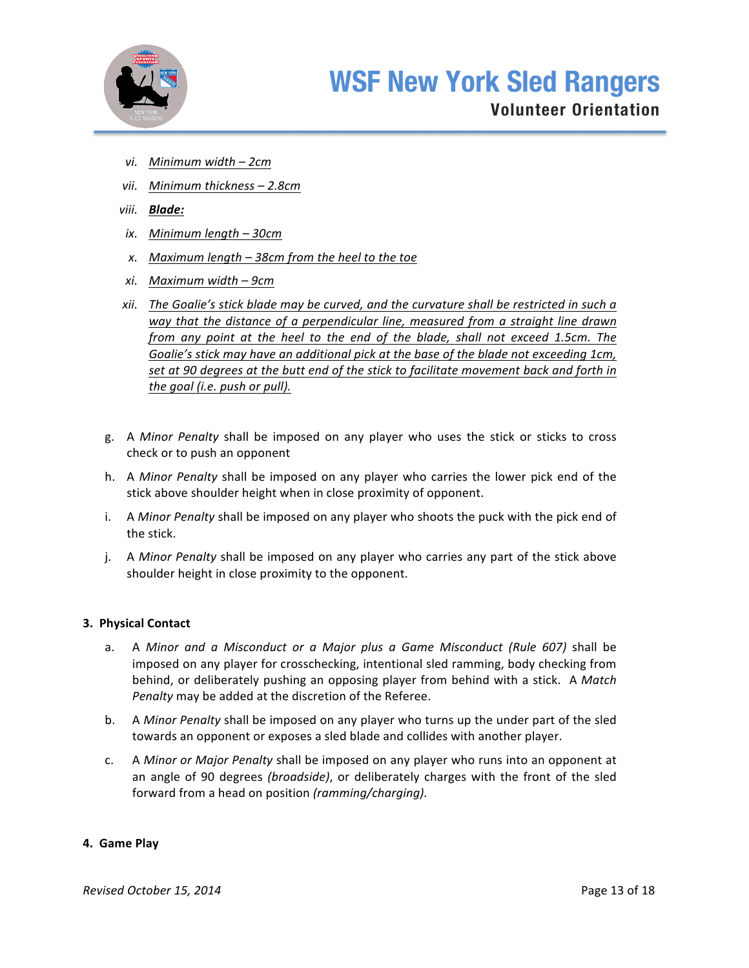

- *vi. Minimum width – 2cm*
- *vii. Minimum thickness – 2.8cm*
- *viii. Blade:*
- *ix. Minimum length – 30cm*
- *x. Maximum length – 38cm from the heel to the toe*
- *xi. Maximum width – 9cm*
- *xii.* The Goalie's stick blade may be curved, and the curvature shall be restricted in such a way that the distance of a perpendicular line, measured from a straight line drawn *from any point at the heel to the end of the blade, shall not exceed 1.5cm. The* Goalie's stick may have an additional pick at the base of the blade not exceeding 1cm, set at 90 degrees at the butt end of the stick to facilitate movement back and forth in *the goal (i.e. push or pull).*
- g. A Minor Penalty shall be imposed on any player who uses the stick or sticks to cross check or to push an opponent
- h. A *Minor Penalty* shall be imposed on any player who carries the lower pick end of the stick above shoulder height when in close proximity of opponent.
- i. A *Minor Penalty* shall be imposed on any player who shoots the puck with the pick end of the stick.
- j. A *Minor Penalty* shall be imposed on any player who carries any part of the stick above shoulder height in close proximity to the opponent.

#### **3. Physical Contact**

- a. A Minor and a Misconduct or a Major plus a Game Misconduct (Rule 607) shall be imposed on any player for crosschecking, intentional sled ramming, body checking from behind, or deliberately pushing an opposing player from behind with a stick. A Match Penalty may be added at the discretion of the Referee.
- b. A *Minor Penalty* shall be imposed on any player who turns up the under part of the sled towards an opponent or exposes a sled blade and collides with another player.
- c. A *Minor or Major Penalty* shall be imposed on any player who runs into an opponent at an angle of 90 degrees *(broadside)*, or deliberately charges with the front of the sled forward from a head on position (ramming/charging).

#### **4. Game Play**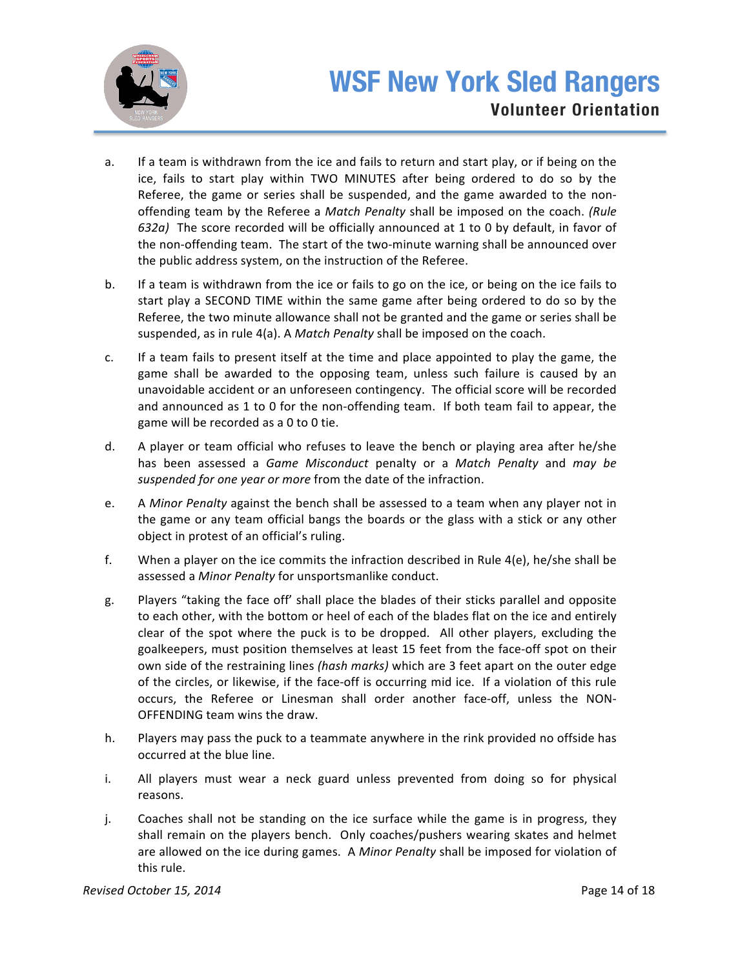

- a. If a team is withdrawn from the ice and fails to return and start play, or if being on the ice, fails to start play within TWO MINUTES after being ordered to do so by the Referee, the game or series shall be suspended, and the game awarded to the nonoffending team by the Referee a *Match Penalty* shall be imposed on the coach. (Rule *632a*) The score recorded will be officially announced at 1 to 0 by default, in favor of the non-offending team. The start of the two-minute warning shall be announced over the public address system, on the instruction of the Referee.
- b. If a team is withdrawn from the ice or fails to go on the ice, or being on the ice fails to start play a SECOND TIME within the same game after being ordered to do so by the Referee, the two minute allowance shall not be granted and the game or series shall be suspended, as in rule 4(a). A Match Penalty shall be imposed on the coach.
- c. If a team fails to present itself at the time and place appointed to play the game, the game shall be awarded to the opposing team, unless such failure is caused by an unavoidable accident or an unforeseen contingency. The official score will be recorded and announced as 1 to 0 for the non-offending team. If both team fail to appear, the game will be recorded as a 0 to 0 tie.
- d. A player or team official who refuses to leave the bench or playing area after he/she has been assessed a *Game Misconduct* penalty or a *Match Penalty* and *may be* suspended for one year or more from the date of the infraction.
- e. A *Minor Penalty* against the bench shall be assessed to a team when any player not in the game or any team official bangs the boards or the glass with a stick or any other object in protest of an official's ruling.
- f. When a player on the ice commits the infraction described in Rule  $4(e)$ , he/she shall be assessed a *Minor Penalty* for unsportsmanlike conduct.
- g. Players "taking the face off' shall place the blades of their sticks parallel and opposite to each other, with the bottom or heel of each of the blades flat on the ice and entirely clear of the spot where the puck is to be dropped. All other players, excluding the goalkeepers, must position themselves at least 15 feet from the face-off spot on their own side of the restraining lines (hash marks) which are 3 feet apart on the outer edge of the circles, or likewise, if the face-off is occurring mid ice. If a violation of this rule occurs, the Referee or Linesman shall order another face-off, unless the NON-OFFENDING team wins the draw.
- h. Players may pass the puck to a teammate anywhere in the rink provided no offside has occurred at the blue line.
- i. All players must wear a neck guard unless prevented from doing so for physical reasons.
- j. Coaches shall not be standing on the ice surface while the game is in progress, they shall remain on the players bench. Only coaches/pushers wearing skates and helmet are allowed on the ice during games. A *Minor Penalty* shall be imposed for violation of this rule.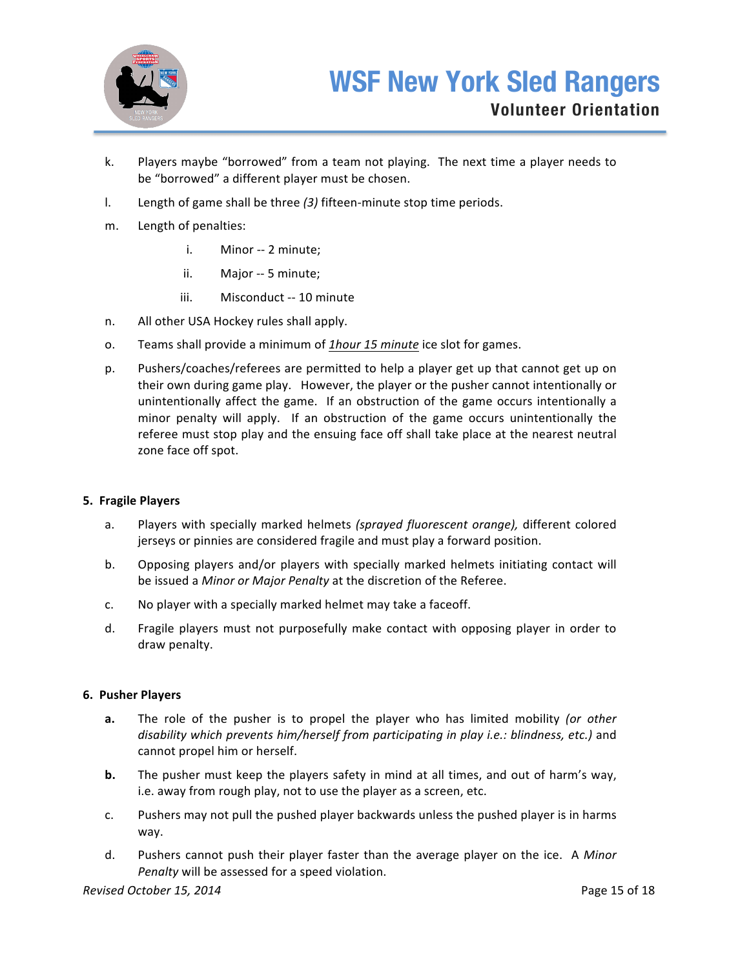

- k. Players maybe "borrowed" from a team not playing. The next time a player needs to be "borrowed" a different player must be chosen.
- l. Length of game shall be three (3) fifteen-minute stop time periods.
- m. Length of penalties:
	- i. Minor -- 2 minute;
	- ii. Major -- 5 minute;
	- iii. Misconduct -- 10 minute
- n. All other USA Hockey rules shall apply.
- o. Teams shall provide a minimum of *1hour 15 minute* ice slot for games.
- p. Pushers/coaches/referees are permitted to help a player get up that cannot get up on their own during game play. However, the player or the pusher cannot intentionally or unintentionally affect the game. If an obstruction of the game occurs intentionally a minor penalty will apply. If an obstruction of the game occurs unintentionally the referee must stop play and the ensuing face off shall take place at the nearest neutral zone face off spot.

## **5. Fragile Players**

- a. Players with specially marked helmets (sprayed fluorescent orange), different colored jerseys or pinnies are considered fragile and must play a forward position.
- b. Opposing players and/or players with specially marked helmets initiating contact will be issued a *Minor or Major Penalty* at the discretion of the Referee.
- c. No player with a specially marked helmet may take a faceoff.
- d. Fragile players must not purposefully make contact with opposing player in order to draw penalty.

## **6. Pusher Players**

- **a.** The role of the pusher is to propel the player who has limited mobility (or other *disability* which prevents him/herself from participating in play i.e.: blindness, etc.) and cannot propel him or herself.
- **b.** The pusher must keep the players safety in mind at all times, and out of harm's way, i.e. away from rough play, not to use the player as a screen, etc.
- c. Pushers may not pull the pushed player backwards unless the pushed player is in harms way.
- d. Pushers cannot push their player faster than the average player on the ice. A Minor *Penalty* will be assessed for a speed violation.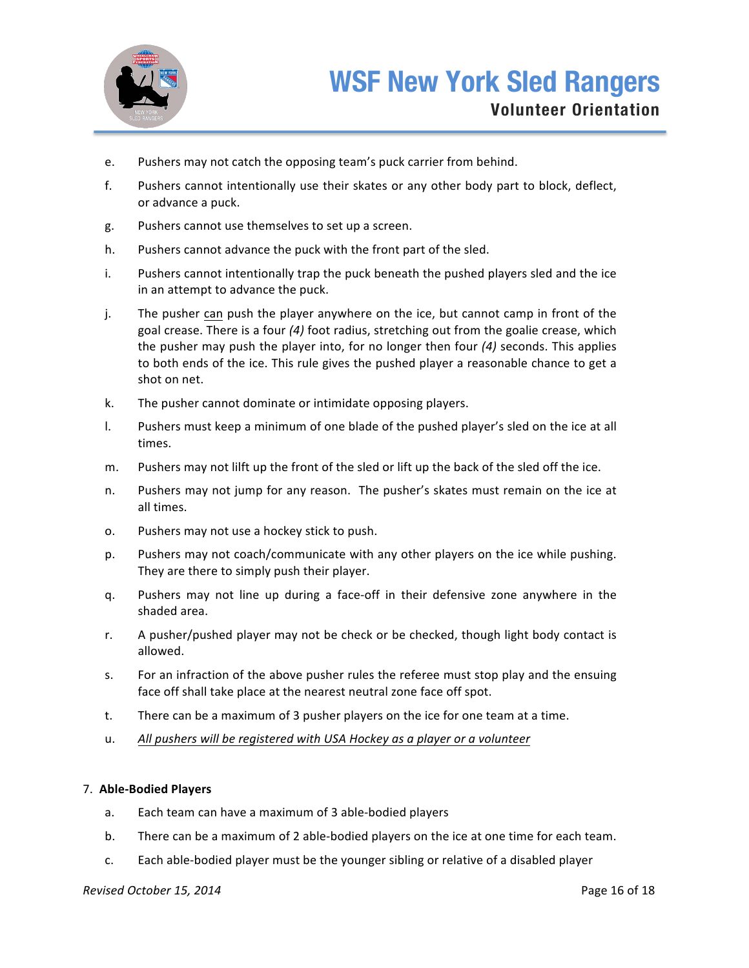

- e. Pushers may not catch the opposing team's puck carrier from behind.
- f. Pushers cannot intentionally use their skates or any other body part to block, deflect, or advance a puck.
- g. Pushers cannot use themselves to set up a screen.
- h. Pushers cannot advance the puck with the front part of the sled.
- i. Pushers cannot intentionally trap the puck beneath the pushed players sled and the ice in an attempt to advance the puck.
- j. The pusher can push the player anywhere on the ice, but cannot camp in front of the goal crease. There is a four (4) foot radius, stretching out from the goalie crease, which the pusher may push the player into, for no longer then four (4) seconds. This applies to both ends of the ice. This rule gives the pushed player a reasonable chance to get a shot on net.
- k. The pusher cannot dominate or intimidate opposing players.
- l. Pushers must keep a minimum of one blade of the pushed player's sled on the ice at all times.
- m. Pushers may not lilft up the front of the sled or lift up the back of the sled off the ice.
- n. Pushers may not jump for any reason. The pusher's skates must remain on the ice at all times.
- o. Pushers may not use a hockey stick to push.
- p. Pushers may not coach/communicate with any other players on the ice while pushing. They are there to simply push their player.
- g. Pushers may not line up during a face-off in their defensive zone anywhere in the shaded area.
- r. A pusher/pushed player may not be check or be checked, though light body contact is allowed.
- s. For an infraction of the above pusher rules the referee must stop play and the ensuing face off shall take place at the nearest neutral zone face off spot.
- t. There can be a maximum of 3 pusher players on the ice for one team at a time.
- u. All pushers will be registered with USA Hockey as a player or a volunteer

## 7. **Able-Bodied Players**

- a. Each team can have a maximum of 3 able-bodied players
- b. There can be a maximum of 2 able-bodied players on the ice at one time for each team.
- c. Each able-bodied player must be the younger sibling or relative of a disabled player

## **Revised October 15, 2014 Page 16 of 18**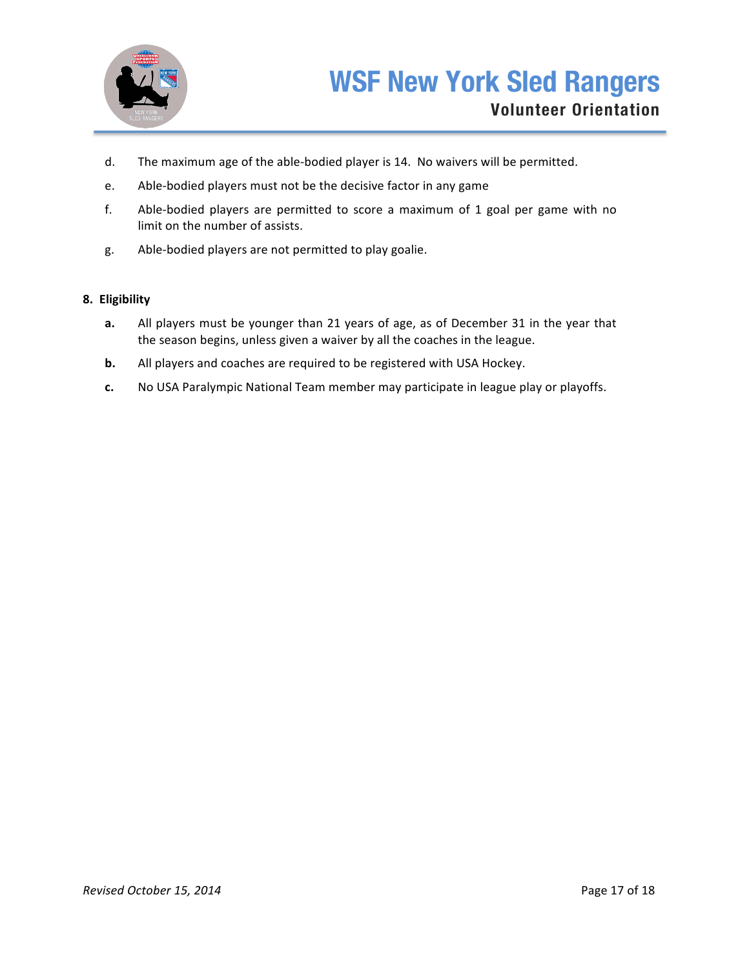

- d. The maximum age of the able-bodied player is 14. No waivers will be permitted.
- e. Able-bodied players must not be the decisive factor in any game
- f. Able-bodied players are permitted to score a maximum of 1 goal per game with no limit on the number of assists.
- g. Able-bodied players are not permitted to play goalie.

### **8. Eligibility**

- **a.** All players must be younger than 21 years of age, as of December 31 in the year that the season begins, unless given a waiver by all the coaches in the league.
- **b.** All players and coaches are required to be registered with USA Hockey.
- **c.** No USA Paralympic National Team member may participate in league play or playoffs.